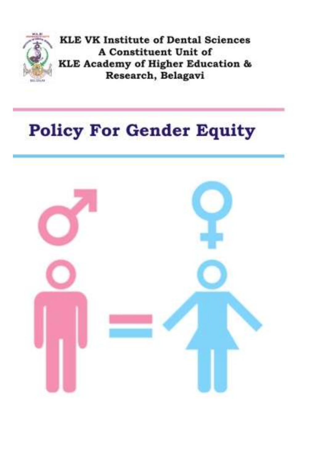

# **Policy For Gender Equity**

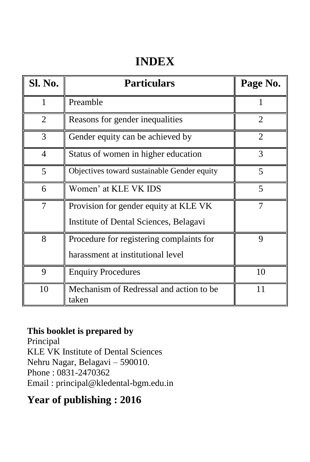# **INDEX**

| Sl. No.        | <b>Particulars</b>                                                              | Page No.       |
|----------------|---------------------------------------------------------------------------------|----------------|
|                | Preamble                                                                        |                |
| $\overline{2}$ | Reasons for gender inequalities                                                 | $\overline{2}$ |
| 3              | Gender equity can be achieved by                                                | $\overline{2}$ |
| $\overline{4}$ | Status of women in higher education                                             | 3              |
| 5              | Objectives toward sustainable Gender equity                                     | 5              |
| 6              | Women' at KLE VK IDS                                                            | 5              |
| 7              | Provision for gender equity at KLE VK<br>Institute of Dental Sciences, Belagavi |                |
| 8              | Procedure for registering complaints for<br>harassment at institutional level   | 9              |
| 9              | <b>Enquiry Procedures</b>                                                       | 10             |
| 10             | Mechanism of Redressal and action to be<br>taken                                | 11             |

#### **This booklet is prepared by**

Principal KLE VK Institute of Dental Sciences Nehru Nagar, Belagavi – 590010. Phone : 0831-2470362 Email : [principal@kledental-bgm.edu.in](mailto:principal@kledental-bgm.edu.in)

## **Year of publishing : 2016**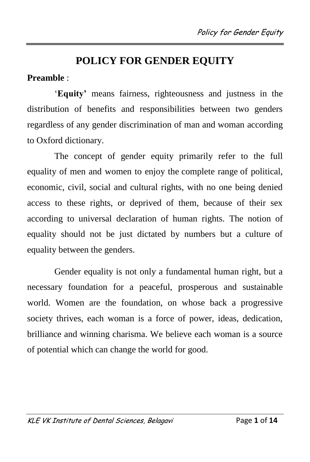# **POLICY FOR GENDER EQUITY**

#### **Preamble** :

'**Equity'** means fairness, righteousness and justness in the distribution of benefits and responsibilities between two genders regardless of any gender discrimination of man and woman according to Oxford dictionary.

The concept of gender equity primarily refer to the full equality of men and women to enjoy the complete range of political, economic, civil, social and cultural rights, with no one being denied access to these rights, or deprived of them, because of their sex according to universal declaration of human rights. The notion of equality should not be just dictated by numbers but a culture of equality between the genders.

Gender equality is not only a fundamental human right, but a necessary foundation for a peaceful, prosperous and sustainable world. Women are the foundation, on whose back a progressive society thrives, each woman is a force of power, ideas, dedication, brilliance and winning charisma. We believe each woman is a source of potential which can change the world for good.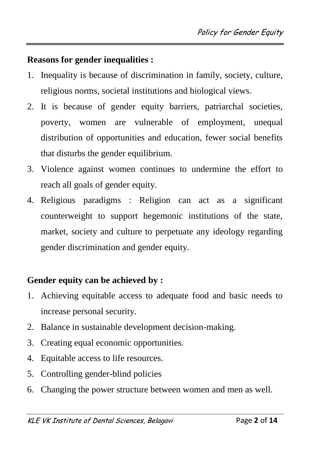#### **Reasons for gender inequalities :**

- 1. Inequality is because of discrimination in family, society, culture, religious norms, societal institutions and biological views.
- 2. It is because of gender equity barriers, patriarchal societies, poverty, women are vulnerable of employment, unequal distribution of opportunities and education, fewer social benefits that disturbs the gender equilibrium.
- 3. Violence against women continues to undermine the effort to reach all goals of gender equity.
- 4. Religious paradigms : Religion can act as a significant counterweight to support hegemonic institutions of the state, market, society and culture to perpetuate any ideology regarding gender discrimination and gender equity.

#### **Gender equity can be achieved by :**

- 1. Achieving equitable access to adequate food and basic needs to increase personal security.
- 2. Balance in sustainable development decision-making.
- 3. Creating equal economic opportunities.
- 4. Equitable access to life resources.
- 5. Controlling gender-blind policies
- 6. Changing the power structure between women and men as well.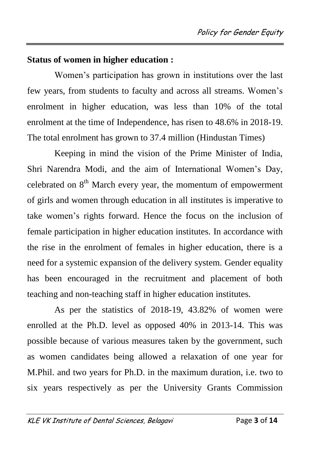#### **Status of women in higher education :**

Women's participation has grown in institutions over the last few years, from students to faculty and across all streams. Women's enrolment in higher education, was less than 10% of the total enrolment at the time of Independence, has risen to 48.6% in 2018-19. The total enrolment has grown to 37.4 million (Hindustan Times)

Keeping in mind the vision of the Prime Minister of India, Shri Narendra Modi, and the aim of International Women's Day, celebrated on  $8<sup>th</sup>$  March every year, the momentum of empowerment of girls and women through education in all institutes is imperative to take women's rights forward. Hence the focus on the inclusion of female participation in higher education institutes. In accordance with the rise in the enrolment of females in higher education, there is a need for a systemic expansion of the delivery system. Gender equality has been encouraged in the recruitment and placement of both teaching and non-teaching staff in higher education institutes.

As per the statistics of 2018-19, 43.82% of women were enrolled at the Ph.D. level as opposed 40% in 2013-14. This was possible because of various measures taken by the government, such as women candidates being allowed a relaxation of one year for M.Phil. and two years for Ph.D. in the maximum duration, i.e. two to six years respectively as per the University Grants Commission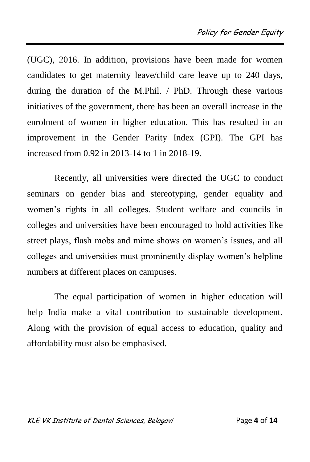(UGC), 2016. In addition, provisions have been made for women candidates to get maternity leave/child care leave up to 240 days, during the duration of the M.Phil. / PhD. Through these various initiatives of the government, there has been an overall increase in the enrolment of women in higher education. This has resulted in an improvement in the Gender Parity Index (GPI). The GPI has increased from 0.92 in 2013-14 to 1 in 2018-19.

Recently, all universities were directed the UGC to conduct seminars on gender bias and stereotyping, gender equality and women's rights in all colleges. Student welfare and councils in colleges and universities have been encouraged to hold activities like street plays, flash mobs and mime shows on women's issues, and all colleges and universities must prominently display women's helpline numbers at different places on campuses.

The equal participation of women in higher education will help India make a vital contribution to sustainable development. Along with the provision of equal access to education, quality and affordability must also be emphasised.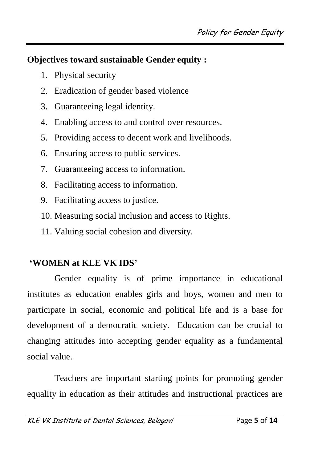#### **Objectives toward sustainable Gender equity :**

- 1. Physical security
- 2. Eradication of gender based violence
- 3. Guaranteeing legal identity.
- 4. Enabling access to and control over resources.
- 5. Providing access to decent work and livelihoods.
- 6. Ensuring access to public services.
- 7. Guaranteeing access to information.
- 8. Facilitating access to information.
- 9. Facilitating access to justice.
- 10. Measuring social inclusion and access to Rights.
- 11. Valuing social cohesion and diversity.

## **'WOMEN at KLE VK IDS'**

Gender equality is of prime importance in educational institutes as education enables girls and boys, women and men to participate in social, economic and political life and is a base for development of a democratic society. Education can be crucial to changing attitudes into accepting gender equality as a fundamental social value.

Teachers are important starting points for promoting gender equality in education as their attitudes and instructional practices are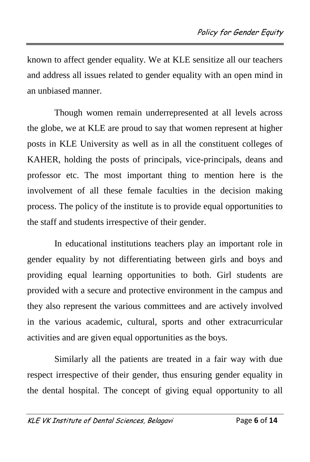known to affect gender equality. We at KLE sensitize all our teachers and address all issues related to gender equality with an open mind in an unbiased manner.

Though women remain underrepresented at all levels across the globe, we at KLE are proud to say that women represent at higher posts in KLE University as well as in all the constituent colleges of KAHER, holding the posts of principals, vice-principals, deans and professor etc. The most important thing to mention here is the involvement of all these female faculties in the decision making process. The policy of the institute is to provide equal opportunities to the staff and students irrespective of their gender.

In educational institutions teachers play an important role in gender equality by not differentiating between girls and boys and providing equal learning opportunities to both. Girl students are provided with a secure and protective environment in the campus and they also represent the various committees and are actively involved in the various academic, cultural, sports and other extracurricular activities and are given equal opportunities as the boys.

Similarly all the patients are treated in a fair way with due respect irrespective of their gender, thus ensuring gender equality in the dental hospital. The concept of giving equal opportunity to all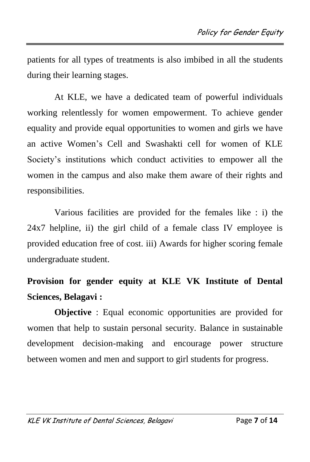patients for all types of treatments is also imbibed in all the students during their learning stages.

At KLE, we have a dedicated team of powerful individuals working relentlessly for women empowerment. To achieve gender equality and provide equal opportunities to women and girls we have an active Women's Cell and Swashakti cell for women of KLE Society's institutions which conduct activities to empower all the women in the campus and also make them aware of their rights and responsibilities.

Various facilities are provided for the females like : i) the 24x7 helpline, ii) the girl child of a female class IV employee is provided education free of cost. iii) Awards for higher scoring female undergraduate student.

# **Provision for gender equity at KLE VK Institute of Dental Sciences, Belagavi :**

**Objective** : Equal economic opportunities are provided for women that help to sustain personal security. Balance in sustainable development decision-making and encourage power structure between women and men and support to girl students for progress.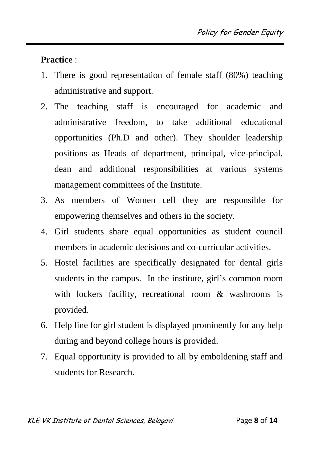**Practice** :

- 1. There is good representation of female staff (80%) teaching administrative and support.
- 2. The teaching staff is encouraged for academic and administrative freedom, to take additional educational opportunities (Ph.D and other). They shoulder leadership positions as Heads of department, principal, vice-principal, dean and additional responsibilities at various systems management committees of the Institute.
- 3. As members of Women cell they are responsible for empowering themselves and others in the society.
- 4. Girl students share equal opportunities as student council members in academic decisions and co-curricular activities.
- 5. Hostel facilities are specifically designated for dental girls students in the campus. In the institute, girl's common room with lockers facility, recreational room & washrooms is provided.
- 6. Help line for girl student is displayed prominently for any help during and beyond college hours is provided.
- 7. Equal opportunity is provided to all by emboldening staff and students for Research.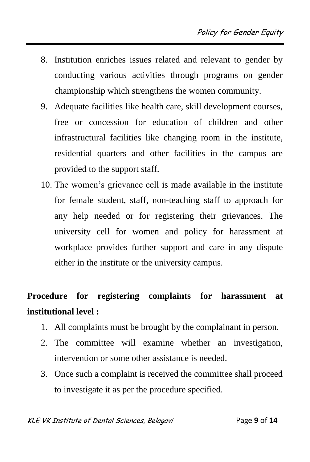- 8. Institution enriches issues related and relevant to gender by conducting various activities through programs on gender championship which strengthens the women community.
- 9. Adequate facilities like health care, skill development courses, free or concession for education of children and other infrastructural facilities like changing room in the institute, residential quarters and other facilities in the campus are provided to the support staff.
- 10. The women's grievance cell is made available in the institute for female student, staff, non-teaching staff to approach for any help needed or for registering their grievances. The university cell for women and policy for harassment at workplace provides further support and care in any dispute either in the institute or the university campus.

# **Procedure for registering complaints for harassment at institutional level :**

- 1. All complaints must be brought by the complainant in person.
- 2. The committee will examine whether an investigation, intervention or some other assistance is needed.
- 3. Once such a complaint is received the committee shall proceed to investigate it as per the procedure specified.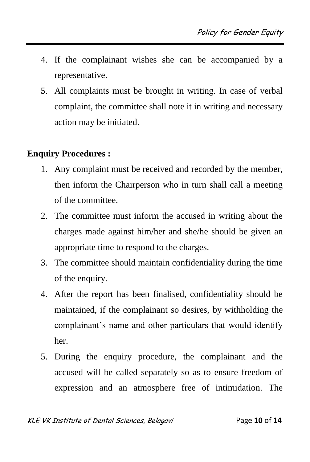- 4. If the complainant wishes she can be accompanied by a representative.
- 5. All complaints must be brought in writing. In case of verbal complaint, the committee shall note it in writing and necessary action may be initiated.

#### **Enquiry Procedures :**

- 1. Any complaint must be received and recorded by the member, then inform the Chairperson who in turn shall call a meeting of the committee.
- 2. The committee must inform the accused in writing about the charges made against him/her and she/he should be given an appropriate time to respond to the charges.
- 3. The committee should maintain confidentiality during the time of the enquiry.
- 4. After the report has been finalised, confidentiality should be maintained, if the complainant so desires, by withholding the complainant's name and other particulars that would identify her.
- 5. During the enquiry procedure, the complainant and the accused will be called separately so as to ensure freedom of expression and an atmosphere free of intimidation. The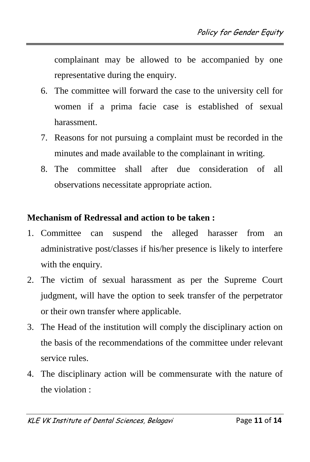complainant may be allowed to be accompanied by one representative during the enquiry.

- 6. The committee will forward the case to the university cell for women if a prima facie case is established of sexual harassment.
- 7. Reasons for not pursuing a complaint must be recorded in the minutes and made available to the complainant in writing.
- 8. The committee shall after due consideration of all observations necessitate appropriate action.

#### **Mechanism of Redressal and action to be taken :**

- 1. Committee can suspend the alleged harasser from an administrative post/classes if his/her presence is likely to interfere with the enquiry.
- 2. The victim of sexual harassment as per the Supreme Court judgment, will have the option to seek transfer of the perpetrator or their own transfer where applicable.
- 3. The Head of the institution will comply the disciplinary action on the basis of the recommendations of the committee under relevant service rules.
- 4. The disciplinary action will be commensurate with the nature of the violation :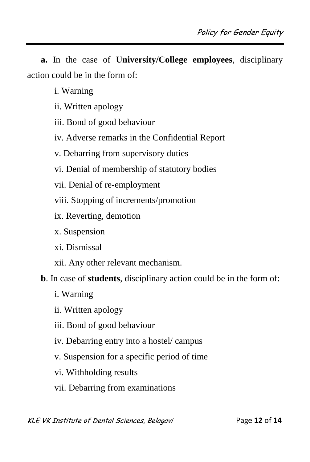**a.** In the case of **University/College employees**, disciplinary action could be in the form of:

- i. Warning
- ii. Written apology
- iii. Bond of good behaviour
- iv. Adverse remarks in the Confidential Report
- v. Debarring from supervisory duties
- vi. Denial of membership of statutory bodies
- vii. Denial of re-employment
- viii. Stopping of increments/promotion
- ix. Reverting, demotion
- x. Suspension
- xi. Dismissal
- xii. Any other relevant mechanism.
- **b**. In case of **students**, disciplinary action could be in the form of:
	- i. Warning
	- ii. Written apology
	- iii. Bond of good behaviour
	- iv. Debarring entry into a hostel/ campus
	- v. Suspension for a specific period of time
	- vi. Withholding results
	- vii. Debarring from examinations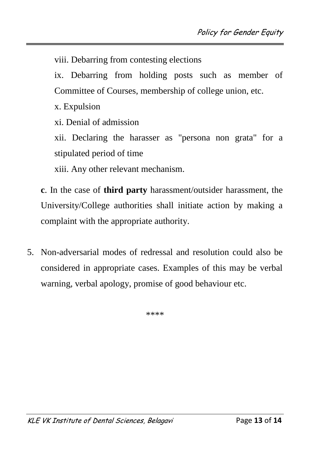viii. Debarring from contesting elections

ix. Debarring from holding posts such as member of Committee of Courses, membership of college union, etc.

x. Expulsion

xi. Denial of admission

xii. Declaring the harasser as "persona non grata" for a stipulated period of time

xiii. Any other relevant mechanism.

**c**. In the case of **third party** harassment/outsider harassment, the University/College authorities shall initiate action by making a complaint with the appropriate authority.

5. Non-adversarial modes of redressal and resolution could also be considered in appropriate cases. Examples of this may be verbal warning, verbal apology, promise of good behaviour etc.

\*\*\*\*